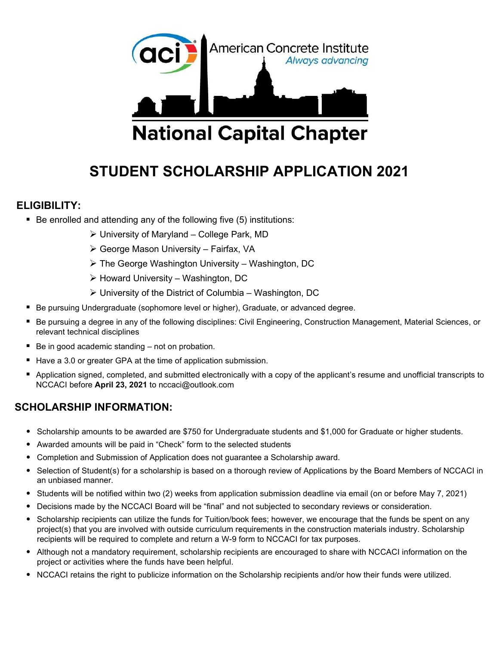

# STUDENT SCHOLARSHIP APPLICATION 2021

#### ELIGIBILITY:

- $\blacksquare$  Be enrolled and attending any of the following five (5) institutions:
	- $\triangleright$  University of Maryland College Park, MD
	- George Mason University Fairfax, VA
	- $\triangleright$  The George Washington University Washington, DC
	- $\triangleright$  Howard University Washington, DC
	- $\triangleright$  University of the District of Columbia Washington, DC
- Be pursuing Undergraduate (sophomore level or higher), Graduate, or advanced degree.
- Be pursuing a degree in any of the following disciplines: Civil Engineering, Construction Management, Material Sciences, or relevant technical disciplines
- Be in good academic standing not on probation.
- Have a 3.0 or greater GPA at the time of application submission.
- Application signed, completed, and submitted electronically with a copy of the applicant's resume and unofficial transcripts to NCCACI before April 23, 2021 to nccaci@outlook.com

### SCHOLARSHIP INFORMATION:

- Scholarship amounts to be awarded are \$750 for Undergraduate students and \$1,000 for Graduate or higher students.
- Awarded amounts will be paid in "Check" form to the selected students
- Completion and Submission of Application does not guarantee a Scholarship award.
- Selection of Student(s) for a scholarship is based on a thorough review of Applications by the Board Members of NCCACI in an unbiased manner.
- Students will be notified within two (2) weeks from application submission deadline via email (on or before May 7, 2021)
- Decisions made by the NCCACI Board will be "final" and not subjected to secondary reviews or consideration.
- Scholarship recipients can utilize the funds for Tuition/book fees; however, we encourage that the funds be spent on any project(s) that you are involved with outside curriculum requirements in the construction materials industry. Scholarship recipients will be required to complete and return a W-9 form to NCCACI for tax purposes.
- Although not a mandatory requirement, scholarship recipients are encouraged to share with NCCACI information on the project or activities where the funds have been helpful.
- NCCACI retains the right to publicize information on the Scholarship recipients and/or how their funds were utilized.